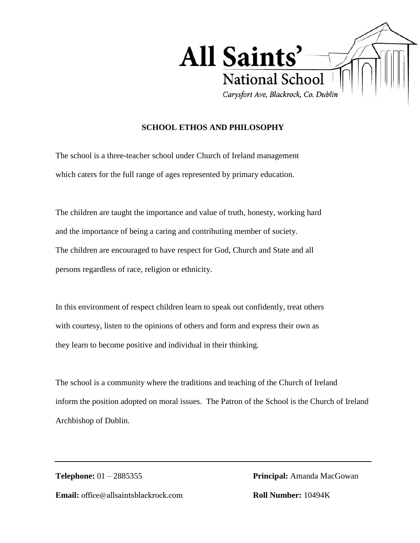

## **SCHOOL ETHOS AND PHILOSOPHY**

The school is a three-teacher school under Church of Ireland management which caters for the full range of ages represented by primary education.

The children are taught the importance and value of truth, honesty, working hard and the importance of being a caring and contributing member of society. The children are encouraged to have respect for God, Church and State and all persons regardless of race, religion or ethnicity.

In this environment of respect children learn to speak out confidently, treat others with courtesy, listen to the opinions of others and form and express their own as they learn to become positive and individual in their thinking.

The school is a community where the traditions and teaching of the Church of Ireland inform the position adopted on moral issues. The Patron of the School is the Church of Ireland Archbishop of Dublin.

**Email:** office@allsaintsblackrock.com **Roll Number:** 10494K

**Telephone:** 01 – 2885355 **Principal:** Amanda MacGowan